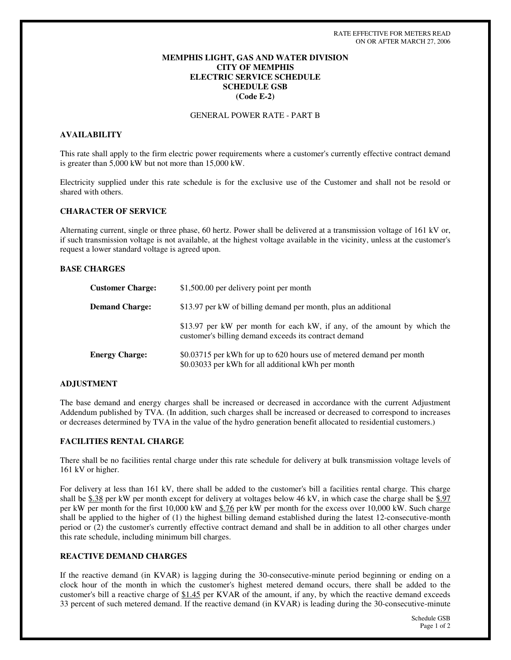### **MEMPHIS LIGHT, GAS AND WATER DIVISION CITY OF MEMPHIS ELECTRIC SERVICE SCHEDULE SCHEDULE GSB (Code E-2)**

GENERAL POWER RATE - PART B

#### **AVAILABILITY**

This rate shall apply to the firm electric power requirements where a customer's currently effective contract demand is greater than 5,000 kW but not more than 15,000 kW.

Electricity supplied under this rate schedule is for the exclusive use of the Customer and shall not be resold or shared with others.

#### **CHARACTER OF SERVICE**

Alternating current, single or three phase, 60 hertz. Power shall be delivered at a transmission voltage of 161 kV or, if such transmission voltage is not available, at the highest voltage available in the vicinity, unless at the customer's request a lower standard voltage is agreed upon.

#### **BASE CHARGES**

| <b>Customer Charge:</b> | \$1,500.00 per delivery point per month                                                                                           |
|-------------------------|-----------------------------------------------------------------------------------------------------------------------------------|
| <b>Demand Charge:</b>   | \$13.97 per kW of billing demand per month, plus an additional                                                                    |
|                         | \$13.97 per kW per month for each kW, if any, of the amount by which the<br>customer's billing demand exceeds its contract demand |
| <b>Energy Charge:</b>   | \$0.03715 per kWh for up to 620 hours use of metered demand per month<br>\$0.03033 per kWh for all additional kWh per month       |

#### **ADJUSTMENT**

The base demand and energy charges shall be increased or decreased in accordance with the current Adjustment Addendum published by TVA. (In addition, such charges shall be increased or decreased to correspond to increases or decreases determined by TVA in the value of the hydro generation benefit allocated to residential customers.)

### **FACILITIES RENTAL CHARGE**

There shall be no facilities rental charge under this rate schedule for delivery at bulk transmission voltage levels of 161 kV or higher.

For delivery at less than 161 kV, there shall be added to the customer's bill a facilities rental charge. This charge shall be \$.38 per kW per month except for delivery at voltages below 46 kV, in which case the charge shall be \$.97 per kW per month for the first 10,000 kW and \$.76 per kW per month for the excess over 10,000 kW. Such charge shall be applied to the higher of (1) the highest billing demand established during the latest 12-consecutive-month period or (2) the customer's currently effective contract demand and shall be in addition to all other charges under this rate schedule, including minimum bill charges.

### **REACTIVE DEMAND CHARGES**

If the reactive demand (in KVAR) is lagging during the 30-consecutive-minute period beginning or ending on a clock hour of the month in which the customer's highest metered demand occurs, there shall be added to the customer's bill a reactive charge of \$1.45 per KVAR of the amount, if any, by which the reactive demand exceeds 33 percent of such metered demand. If the reactive demand (in KVAR) is leading during the 30-consecutive-minute